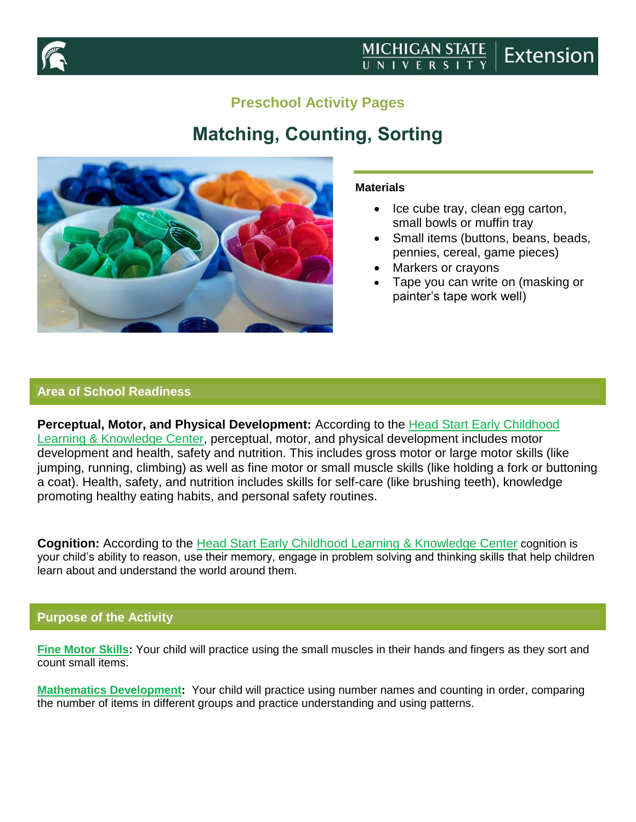

# **Preschool Activity Pages**

# **Matching, Counting, Sorting**



#### **Materials**

- $\bullet$  Ice cube tray, clean egg carton, small bowls or muffin tray
- Small items (buttons, beans, beads, pennies, cereal, game pieces)
- Markers or crayons
- Tape you can write on (masking or painter's tape work well)

### **Area of School Readiness**

**Perceptual, Motor, and Physical Development:** According to the [Head Start Early Childhood](https://eclkc.ohs.acf.hhs.gov/interactive-head-start-early-learning-outcomes-framework-ages-birth-five)  [Learning & Knowledge Center,](https://eclkc.ohs.acf.hhs.gov/interactive-head-start-early-learning-outcomes-framework-ages-birth-five) perceptual, motor, and physical development includes motor development and health, safety and nutrition. This includes gross motor or large motor skills (like jumping, running, climbing) as well as fine motor or small muscle skills (like holding a fork or buttoning a coat). Health, safety, and nutrition includes skills for self-care (like brushing teeth), knowledge promoting healthy eating habits, and personal safety routines.

**Cognition:** According to the [Head Start Early Childhood Learning](https://eclkc.ohs.acf.hhs.gov/interactive-head-start-early-learning-outcomes-framework-ages-birth-five) & Knowledge Center cognition is your child's ability to reason, use their memory, engage in problem solving and thinking skills that help children learn about and understand the world around them.

## **Purpose of the Activity**

**[Fine Motor Skills:](https://eclkc.ohs.acf.hhs.gov/interactive-head-start-early-learning-outcomes-framework-ages-birth-five)** Your child will practice using the small muscles in their hands and fingers as they sort and count small items.

**[Mathematics Development:](https://eclkc.ohs.acf.hhs.gov/interactive-head-start-early-learning-outcomes-framework-ages-birth-five)** Your child will practice using number names and counting in order, comparing the number of items in different groups and practice understanding and using patterns.